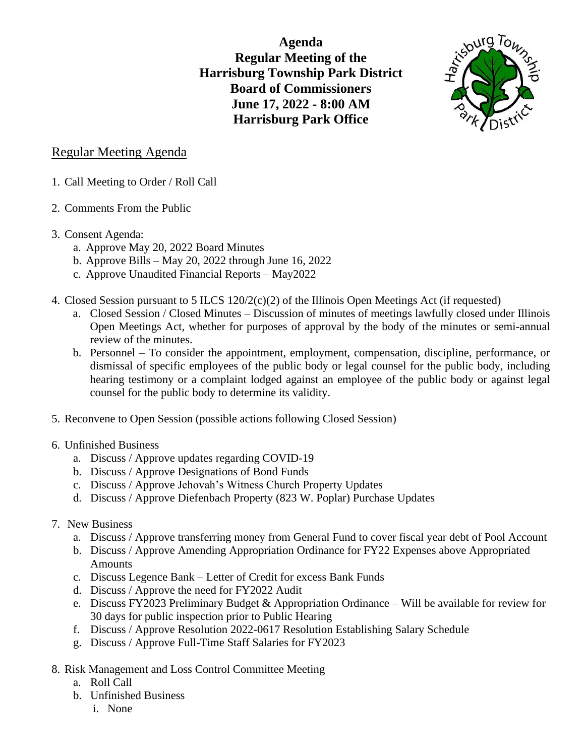**Agenda Regular Meeting of the Harrisburg Township Park District Board of Commissioners June 17, 2022 - 8:00 AM Harrisburg Park Office**



## Regular Meeting Agenda

- 1. Call Meeting to Order / Roll Call
- 2. Comments From the Public
- 3. Consent Agenda:
	- a. Approve May 20, 2022 Board Minutes
	- b. Approve Bills May 20, 2022 through June 16, 2022
	- c. Approve Unaudited Financial Reports May2022
- 4. Closed Session pursuant to 5 ILCS  $120/2(c)(2)$  of the Illinois Open Meetings Act (if requested)
	- a. Closed Session / Closed Minutes Discussion of minutes of meetings lawfully closed under Illinois Open Meetings Act, whether for purposes of approval by the body of the minutes or semi-annual review of the minutes.
	- b. Personnel To consider the appointment, employment, compensation, discipline, performance, or dismissal of specific employees of the public body or legal counsel for the public body, including hearing testimony or a complaint lodged against an employee of the public body or against legal counsel for the public body to determine its validity.
- 5. Reconvene to Open Session (possible actions following Closed Session)
- 6. Unfinished Business
	- a. Discuss / Approve updates regarding COVID-19
	- b. Discuss / Approve Designations of Bond Funds
	- c. Discuss / Approve Jehovah's Witness Church Property Updates
	- d. Discuss / Approve Diefenbach Property (823 W. Poplar) Purchase Updates
- 7. New Business
	- a. Discuss / Approve transferring money from General Fund to cover fiscal year debt of Pool Account
	- b. Discuss / Approve Amending Appropriation Ordinance for FY22 Expenses above Appropriated Amounts
	- c. Discuss Legence Bank Letter of Credit for excess Bank Funds
	- d. Discuss / Approve the need for FY2022 Audit
	- e. Discuss FY2023 Preliminary Budget & Appropriation Ordinance Will be available for review for 30 days for public inspection prior to Public Hearing
	- f. Discuss / Approve Resolution 2022-0617 Resolution Establishing Salary Schedule
	- g. Discuss / Approve Full-Time Staff Salaries for FY2023
- 8. Risk Management and Loss Control Committee Meeting
	- a. Roll Call
	- b. Unfinished Business
		- i. None